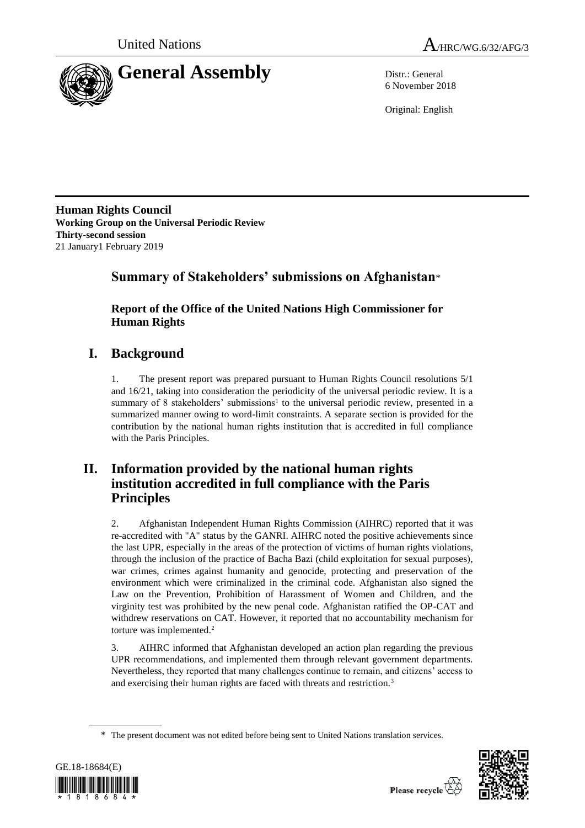



6 November 2018

Original: English

**Human Rights Council Working Group on the Universal Periodic Review Thirty-second session** 21 January1 February 2019

## **Summary of Stakeholders' submissions on Afghanistan**\*

**Report of the Office of the United Nations High Commissioner for Human Rights**

# **I. Background**

1. The present report was prepared pursuant to Human Rights Council resolutions 5/1 and 16/21, taking into consideration the periodicity of the universal periodic review. It is a summary of 8 stakeholders' submissions<sup>1</sup> to the universal periodic review, presented in a summarized manner owing to word-limit constraints. A separate section is provided for the contribution by the national human rights institution that is accredited in full compliance with the Paris Principles.

## **II. Information provided by the national human rights institution accredited in full compliance with the Paris Principles**

2. Afghanistan Independent Human Rights Commission (AIHRC) reported that it was re-accredited with "A" status by the GANRI. AIHRC noted the positive achievements since the last UPR, especially in the areas of the protection of victims of human rights violations, through the inclusion of the practice of Bacha Bazi (child exploitation for sexual purposes), war crimes, crimes against humanity and genocide, protecting and preservation of the environment which were criminalized in the criminal code. Afghanistan also signed the Law on the Prevention, Prohibition of Harassment of Women and Children, and the virginity test was prohibited by the new penal code. Afghanistan ratified the OP-CAT and withdrew reservations on CAT. However, it reported that no accountability mechanism for torture was implemented.<sup>2</sup>

3. AIHRC informed that Afghanistan developed an action plan regarding the previous UPR recommendations, and implemented them through relevant government departments. Nevertheless, they reported that many challenges continue to remain, and citizens' access to and exercising their human rights are faced with threats and restriction.<sup>3</sup>

<sup>\*</sup> The present document was not edited before being sent to United Nations translation services.



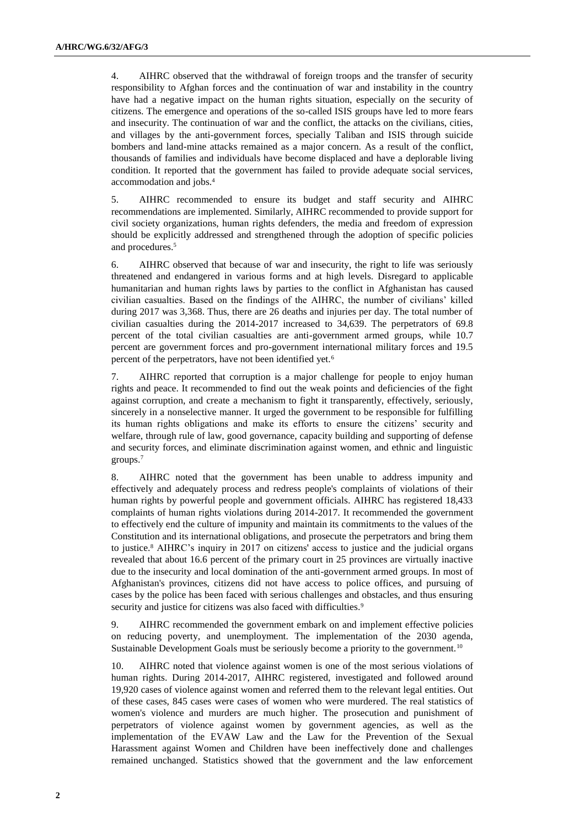4. AIHRC observed that the withdrawal of foreign troops and the transfer of security responsibility to Afghan forces and the continuation of war and instability in the country have had a negative impact on the human rights situation, especially on the security of citizens. The emergence and operations of the so-called ISIS groups have led to more fears and insecurity. The continuation of war and the conflict, the attacks on the civilians, cities, and villages by the anti-government forces, specially Taliban and ISIS through suicide bombers and land-mine attacks remained as a major concern. As a result of the conflict, thousands of families and individuals have become displaced and have a deplorable living condition. It reported that the government has failed to provide adequate social services, accommodation and jobs.<sup>4</sup>

5. AIHRC recommended to ensure its budget and staff security and AIHRC recommendations are implemented. Similarly, AIHRC recommended to provide support for civil society organizations, human rights defenders, the media and freedom of expression should be explicitly addressed and strengthened through the adoption of specific policies and procedures.<sup>5</sup>

6. AIHRC observed that because of war and insecurity, the right to life was seriously threatened and endangered in various forms and at high levels. Disregard to applicable humanitarian and human rights laws by parties to the conflict in Afghanistan has caused civilian casualties. Based on the findings of the AIHRC, the number of civilians' killed during 2017 was 3,368. Thus, there are 26 deaths and injuries per day. The total number of civilian casualties during the 2014-2017 increased to 34,639. The perpetrators of 69.8 percent of the total civilian casualties are anti-government armed groups, while 10.7 percent are government forces and pro-government international military forces and 19.5 percent of the perpetrators, have not been identified yet.<sup>6</sup>

7. AIHRC reported that corruption is a major challenge for people to enjoy human rights and peace. It recommended to find out the weak points and deficiencies of the fight against corruption, and create a mechanism to fight it transparently, effectively, seriously, sincerely in a nonselective manner. It urged the government to be responsible for fulfilling its human rights obligations and make its efforts to ensure the citizens' security and welfare, through rule of law, good governance, capacity building and supporting of defense and security forces, and eliminate discrimination against women, and ethnic and linguistic groups.<sup>7</sup>

8. AIHRC noted that the government has been unable to address impunity and effectively and adequately process and redress people's complaints of violations of their human rights by powerful people and government officials. AIHRC has registered 18,433 complaints of human rights violations during 2014-2017. It recommended the government to effectively end the culture of impunity and maintain its commitments to the values of the Constitution and its international obligations, and prosecute the perpetrators and bring them to justice.<sup>8</sup> AIHRC's inquiry in 2017 on citizens' access to justice and the judicial organs revealed that about 16.6 percent of the primary court in 25 provinces are virtually inactive due to the insecurity and local domination of the anti-government armed groups. In most of Afghanistan's provinces, citizens did not have access to police offices, and pursuing of cases by the police has been faced with serious challenges and obstacles, and thus ensuring security and justice for citizens was also faced with difficulties.<sup>9</sup>

9. AIHRC recommended the government embark on and implement effective policies on reducing poverty, and unemployment. The implementation of the 2030 agenda, Sustainable Development Goals must be seriously become a priority to the government.<sup>10</sup>

10. AIHRC noted that violence against women is one of the most serious violations of human rights. During 2014-2017, AIHRC registered, investigated and followed around 19,920 cases of violence against women and referred them to the relevant legal entities. Out of these cases, 845 cases were cases of women who were murdered. The real statistics of women's violence and murders are much higher. The prosecution and punishment of perpetrators of violence against women by government agencies, as well as the implementation of the EVAW Law and the Law for the Prevention of the Sexual Harassment against Women and Children have been ineffectively done and challenges remained unchanged. Statistics showed that the government and the law enforcement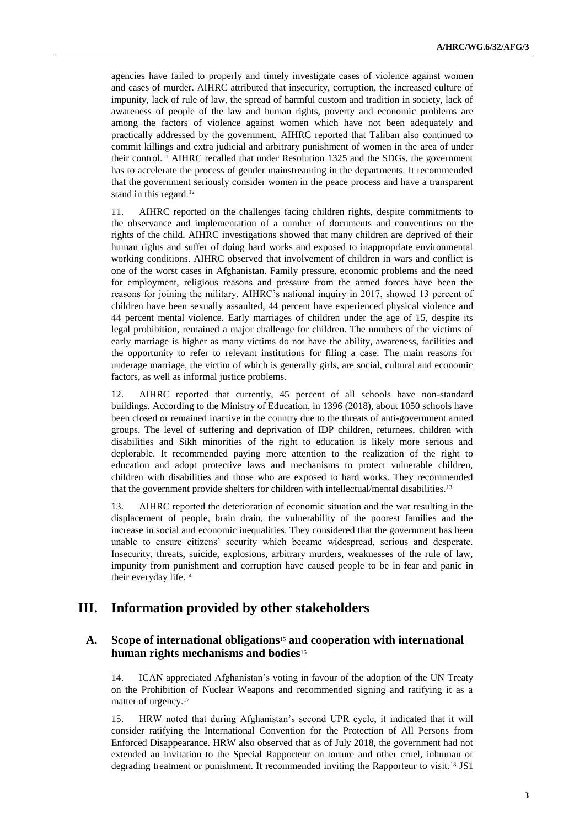agencies have failed to properly and timely investigate cases of violence against women and cases of murder. AIHRC attributed that insecurity, corruption, the increased culture of impunity, lack of rule of law, the spread of harmful custom and tradition in society, lack of awareness of people of the law and human rights, poverty and economic problems are among the factors of violence against women which have not been adequately and practically addressed by the government. AIHRC reported that Taliban also continued to commit killings and extra judicial and arbitrary punishment of women in the area of under their control.<sup>11</sup> AIHRC recalled that under Resolution 1325 and the SDGs, the government has to accelerate the process of gender mainstreaming in the departments. It recommended that the government seriously consider women in the peace process and have a transparent stand in this regard.<sup>12</sup>

11. AIHRC reported on the challenges facing children rights, despite commitments to the observance and implementation of a number of documents and conventions on the rights of the child. AIHRC investigations showed that many children are deprived of their human rights and suffer of doing hard works and exposed to inappropriate environmental working conditions. AIHRC observed that involvement of children in wars and conflict is one of the worst cases in Afghanistan. Family pressure, economic problems and the need for employment, religious reasons and pressure from the armed forces have been the reasons for joining the military. AIHRC's national inquiry in 2017, showed 13 percent of children have been sexually assaulted, 44 percent have experienced physical violence and 44 percent mental violence. Early marriages of children under the age of 15, despite its legal prohibition, remained a major challenge for children. The numbers of the victims of early marriage is higher as many victims do not have the ability, awareness, facilities and the opportunity to refer to relevant institutions for filing a case. The main reasons for underage marriage, the victim of which is generally girls, are social, cultural and economic factors, as well as informal justice problems.

12. AIHRC reported that currently, 45 percent of all schools have non-standard buildings. According to the Ministry of Education, in 1396 (2018), about 1050 schools have been closed or remained inactive in the country due to the threats of anti-government armed groups. The level of suffering and deprivation of IDP children, returnees, children with disabilities and Sikh minorities of the right to education is likely more serious and deplorable. It recommended paying more attention to the realization of the right to education and adopt protective laws and mechanisms to protect vulnerable children, children with disabilities and those who are exposed to hard works. They recommended that the government provide shelters for children with intellectual/mental disabilities.<sup>13</sup>

13. AIHRC reported the deterioration of economic situation and the war resulting in the displacement of people, brain drain, the vulnerability of the poorest families and the increase in social and economic inequalities. They considered that the government has been unable to ensure citizens' security which became widespread, serious and desperate. Insecurity, threats, suicide, explosions, arbitrary murders, weaknesses of the rule of law, impunity from punishment and corruption have caused people to be in fear and panic in their everyday life.<sup>14</sup>

## **III. Information provided by other stakeholders**

## **A. Scope of international obligations**<sup>15</sup> **and cooperation with international human rights mechanisms and bodies**<sup>16</sup>

14. ICAN appreciated Afghanistan's voting in favour of the adoption of the UN Treaty on the Prohibition of Nuclear Weapons and recommended signing and ratifying it as a matter of urgency.<sup>17</sup>

15. HRW noted that during Afghanistan's second UPR cycle, it indicated that it will consider ratifying the International Convention for the Protection of All Persons from Enforced Disappearance. HRW also observed that as of July 2018, the government had not extended an invitation to the Special Rapporteur on torture and other cruel, inhuman or degrading treatment or punishment. It recommended inviting the Rapporteur to visit.<sup>18</sup> JS1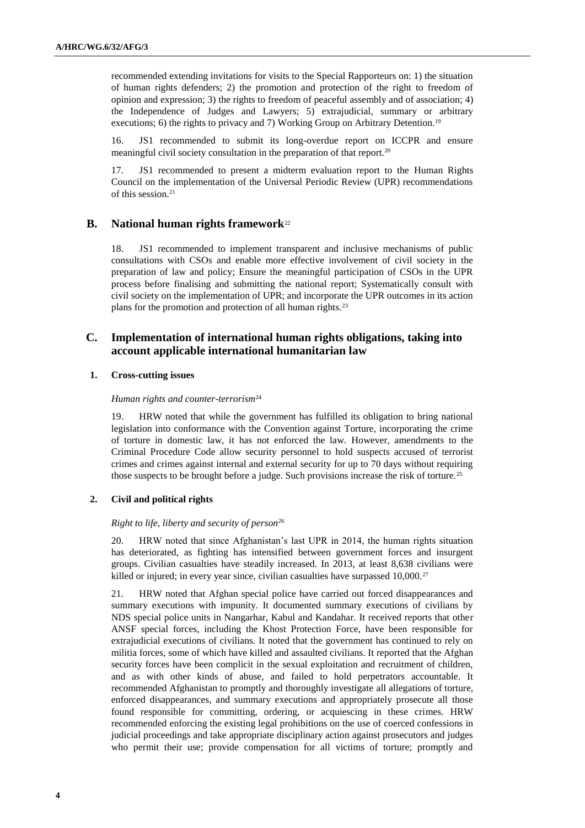recommended extending invitations for visits to the Special Rapporteurs on: 1) the situation of human rights defenders; 2) the promotion and protection of the right to freedom of opinion and expression; 3) the rights to freedom of peaceful assembly and of association; 4) the Independence of Judges and Lawyers; 5) extrajudicial, summary or arbitrary executions; 6) the rights to privacy and 7) Working Group on Arbitrary Detention.<sup>19</sup>

16. JS1 recommended to submit its long-overdue report on ICCPR and ensure meaningful civil society consultation in the preparation of that report.<sup>20</sup>

17. JS1 recommended to present a midterm evaluation report to the Human Rights Council on the implementation of the Universal Periodic Review (UPR) recommendations of this session.<sup>21</sup>

### **B. National human rights framework**<sup>22</sup>

18. JS1 recommended to implement transparent and inclusive mechanisms of public consultations with CSOs and enable more effective involvement of civil society in the preparation of law and policy; Ensure the meaningful participation of CSOs in the UPR process before finalising and submitting the national report; Systematically consult with civil society on the implementation of UPR; and incorporate the UPR outcomes in its action plans for the promotion and protection of all human rights.<sup>23</sup>

### **C. Implementation of international human rights obligations, taking into account applicable international humanitarian law**

#### **1. Cross-cutting issues**

#### *Human rights and counter-terrorism*<sup>24</sup>

19. HRW noted that while the government has fulfilled its obligation to bring national legislation into conformance with the Convention against Torture, incorporating the crime of torture in domestic law, it has not enforced the law. However, amendments to the Criminal Procedure Code allow security personnel to hold suspects accused of terrorist crimes and crimes against internal and external security for up to 70 days without requiring those suspects to be brought before a judge. Such provisions increase the risk of torture.<sup>25</sup>

### **2. Civil and political rights**

#### *Right to life, liberty and security of person*<sup>26</sup>

20. HRW noted that since Afghanistan's last UPR in 2014, the human rights situation has deteriorated, as fighting has intensified between government forces and insurgent groups. Civilian casualties have steadily increased. In 2013, at least 8,638 civilians were killed or injured; in every year since, civilian casualties have surpassed 10,000.<sup>27</sup>

21. HRW noted that Afghan special police have carried out forced disappearances and summary executions with impunity. It documented summary executions of civilians by NDS special police units in Nangarhar, Kabul and Kandahar. It received reports that other ANSF special forces, including the Khost Protection Force, have been responsible for extrajudicial executions of civilians. It noted that the government has continued to rely on militia forces, some of which have killed and assaulted civilians. It reported that the Afghan security forces have been complicit in the sexual exploitation and recruitment of children, and as with other kinds of abuse, and failed to hold perpetrators accountable. It recommended Afghanistan to promptly and thoroughly investigate all allegations of torture, enforced disappearances, and summary executions and appropriately prosecute all those found responsible for committing, ordering, or acquiescing in these crimes. HRW recommended enforcing the existing legal prohibitions on the use of coerced confessions in judicial proceedings and take appropriate disciplinary action against prosecutors and judges who permit their use; provide compensation for all victims of torture; promptly and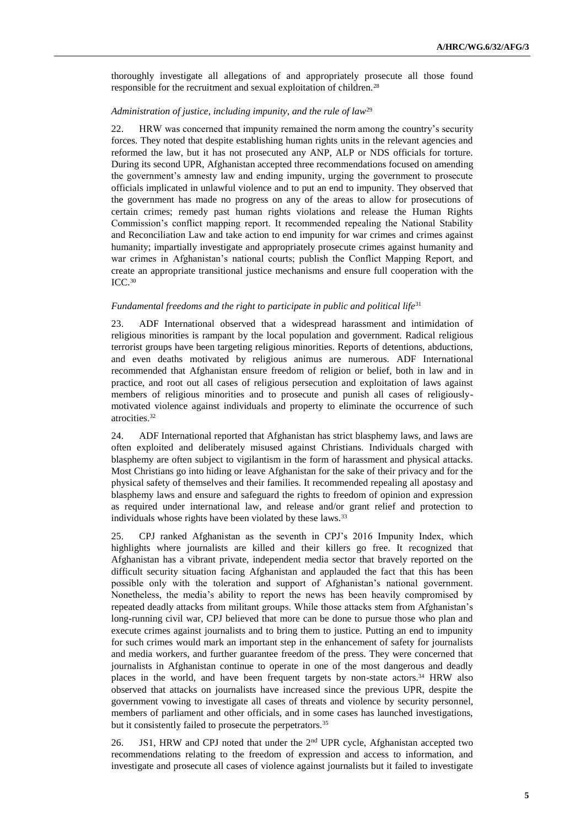thoroughly investigate all allegations of and appropriately prosecute all those found responsible for the recruitment and sexual exploitation of children.<sup>28</sup>

#### *Administration of justice, including impunity, and the rule of law*<sup>29</sup>

22. HRW was concerned that impunity remained the norm among the country's security forces. They noted that despite establishing human rights units in the relevant agencies and reformed the law, but it has not prosecuted any ANP, ALP or NDS officials for torture. During its second UPR, Afghanistan accepted three recommendations focused on amending the government's amnesty law and ending impunity, urging the government to prosecute officials implicated in unlawful violence and to put an end to impunity. They observed that the government has made no progress on any of the areas to allow for prosecutions of certain crimes; remedy past human rights violations and release the Human Rights Commission's conflict mapping report. It recommended repealing the National Stability and Reconciliation Law and take action to end impunity for war crimes and crimes against humanity; impartially investigate and appropriately prosecute crimes against humanity and war crimes in Afghanistan's national courts; publish the Conflict Mapping Report, and create an appropriate transitional justice mechanisms and ensure full cooperation with the ICC.<sup>30</sup>

#### *Fundamental freedoms and the right to participate in public and political life*<sup>31</sup>

23. ADF International observed that a widespread harassment and intimidation of religious minorities is rampant by the local population and government. Radical religious terrorist groups have been targeting religious minorities. Reports of detentions, abductions, and even deaths motivated by religious animus are numerous. ADF International recommended that Afghanistan ensure freedom of religion or belief, both in law and in practice, and root out all cases of religious persecution and exploitation of laws against members of religious minorities and to prosecute and punish all cases of religiouslymotivated violence against individuals and property to eliminate the occurrence of such atrocities.<sup>32</sup>

24. ADF International reported that Afghanistan has strict blasphemy laws, and laws are often exploited and deliberately misused against Christians. Individuals charged with blasphemy are often subject to vigilantism in the form of harassment and physical attacks. Most Christians go into hiding or leave Afghanistan for the sake of their privacy and for the physical safety of themselves and their families. It recommended repealing all apostasy and blasphemy laws and ensure and safeguard the rights to freedom of opinion and expression as required under international law, and release and/or grant relief and protection to individuals whose rights have been violated by these laws.<sup>33</sup>

25. CPJ ranked Afghanistan as the seventh in CPJ's 2016 Impunity Index, which highlights where journalists are killed and their killers go free. It recognized that Afghanistan has a vibrant private, independent media sector that bravely reported on the difficult security situation facing Afghanistan and applauded the fact that this has been possible only with the toleration and support of Afghanistan's national government. Nonetheless, the media's ability to report the news has been heavily compromised by repeated deadly attacks from militant groups. While those attacks stem from Afghanistan's long-running civil war, CPJ believed that more can be done to pursue those who plan and execute crimes against journalists and to bring them to justice. Putting an end to impunity for such crimes would mark an important step in the enhancement of safety for journalists and media workers, and further guarantee freedom of the press. They were concerned that journalists in Afghanistan continue to operate in one of the most dangerous and deadly places in the world, and have been frequent targets by non-state actors.<sup>34</sup> HRW also observed that attacks on journalists have increased since the previous UPR, despite the government vowing to investigate all cases of threats and violence by security personnel, members of parliament and other officials, and in some cases has launched investigations, but it consistently failed to prosecute the perpetrators.<sup>35</sup>

26. JS1, HRW and CPJ noted that under the 2<sup>nd</sup> UPR cycle, Afghanistan accepted two recommendations relating to the freedom of expression and access to information, and investigate and prosecute all cases of violence against journalists but it failed to investigate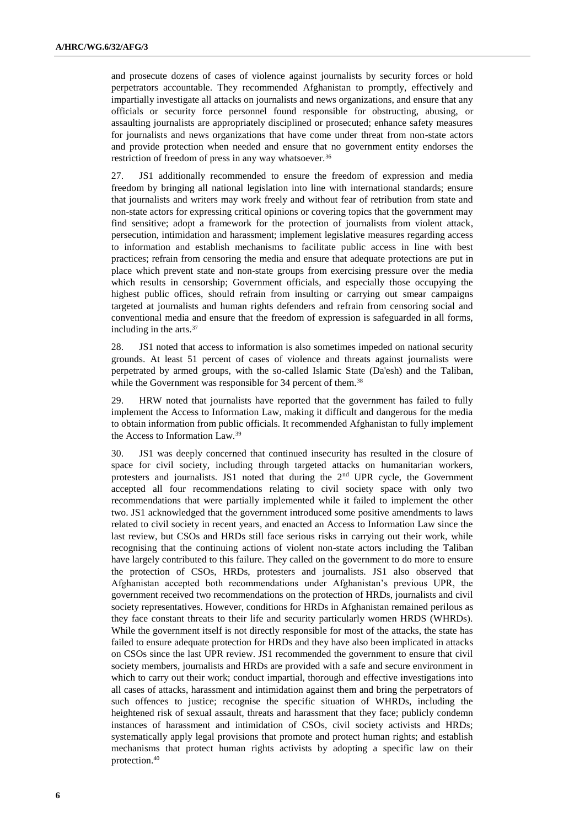and prosecute dozens of cases of violence against journalists by security forces or hold perpetrators accountable. They recommended Afghanistan to promptly, effectively and impartially investigate all attacks on journalists and news organizations, and ensure that any officials or security force personnel found responsible for obstructing, abusing, or assaulting journalists are appropriately disciplined or prosecuted; enhance safety measures for journalists and news organizations that have come under threat from non-state actors and provide protection when needed and ensure that no government entity endorses the restriction of freedom of press in any way whatsoever.<sup>36</sup>

27. JS1 additionally recommended to ensure the freedom of expression and media freedom by bringing all national legislation into line with international standards; ensure that journalists and writers may work freely and without fear of retribution from state and non-state actors for expressing critical opinions or covering topics that the government may find sensitive; adopt a framework for the protection of journalists from violent attack, persecution, intimidation and harassment; implement legislative measures regarding access to information and establish mechanisms to facilitate public access in line with best practices; refrain from censoring the media and ensure that adequate protections are put in place which prevent state and non-state groups from exercising pressure over the media which results in censorship; Government officials, and especially those occupying the highest public offices, should refrain from insulting or carrying out smear campaigns targeted at journalists and human rights defenders and refrain from censoring social and conventional media and ensure that the freedom of expression is safeguarded in all forms, including in the arts.<sup>37</sup>

28. JS1 noted that access to information is also sometimes impeded on national security grounds. At least 51 percent of cases of violence and threats against journalists were perpetrated by armed groups, with the so-called Islamic State (Da'esh) and the Taliban, while the Government was responsible for 34 percent of them.<sup>38</sup>

29. HRW noted that journalists have reported that the government has failed to fully implement the Access to Information Law, making it difficult and dangerous for the media to obtain information from public officials. It recommended Afghanistan to fully implement the Access to Information Law.<sup>39</sup>

30. JS1 was deeply concerned that continued insecurity has resulted in the closure of space for civil society, including through targeted attacks on humanitarian workers, protesters and journalists. JS1 noted that during the 2nd UPR cycle, the Government accepted all four recommendations relating to civil society space with only two recommendations that were partially implemented while it failed to implement the other two. JS1 acknowledged that the government introduced some positive amendments to laws related to civil society in recent years, and enacted an Access to Information Law since the last review, but CSOs and HRDs still face serious risks in carrying out their work, while recognising that the continuing actions of violent non-state actors including the Taliban have largely contributed to this failure. They called on the government to do more to ensure the protection of CSOs, HRDs, protesters and journalists. JS1 also observed that Afghanistan accepted both recommendations under Afghanistan's previous UPR, the government received two recommendations on the protection of HRDs, journalists and civil society representatives. However, conditions for HRDs in Afghanistan remained perilous as they face constant threats to their life and security particularly women HRDS (WHRDs). While the government itself is not directly responsible for most of the attacks, the state has failed to ensure adequate protection for HRDs and they have also been implicated in attacks on CSOs since the last UPR review. JS1 recommended the government to ensure that civil society members, journalists and HRDs are provided with a safe and secure environment in which to carry out their work; conduct impartial, thorough and effective investigations into all cases of attacks, harassment and intimidation against them and bring the perpetrators of such offences to justice; recognise the specific situation of WHRDs, including the heightened risk of sexual assault, threats and harassment that they face; publicly condemn instances of harassment and intimidation of CSOs, civil society activists and HRDs; systematically apply legal provisions that promote and protect human rights; and establish mechanisms that protect human rights activists by adopting a specific law on their protection.40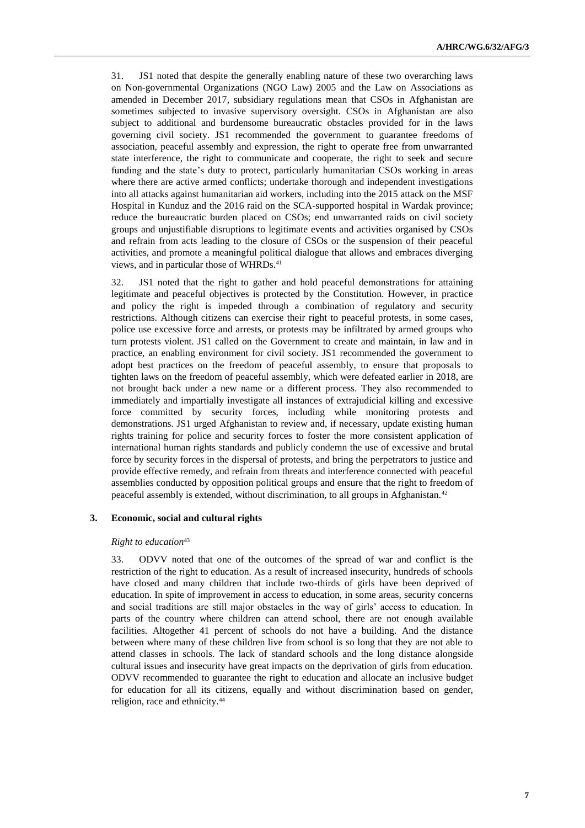31. JS1 noted that despite the generally enabling nature of these two overarching laws on Non-governmental Organizations (NGO Law) 2005 and the Law on Associations as amended in December 2017, subsidiary regulations mean that CSOs in Afghanistan are sometimes subjected to invasive supervisory oversight. CSOs in Afghanistan are also subject to additional and burdensome bureaucratic obstacles provided for in the laws governing civil society. JS1 recommended the government to guarantee freedoms of association, peaceful assembly and expression, the right to operate free from unwarranted state interference, the right to communicate and cooperate, the right to seek and secure funding and the state's duty to protect, particularly humanitarian CSOs working in areas where there are active armed conflicts; undertake thorough and independent investigations into all attacks against humanitarian aid workers, including into the 2015 attack on the MSF Hospital in Kunduz and the 2016 raid on the SCA-supported hospital in Wardak province; reduce the bureaucratic burden placed on CSOs; end unwarranted raids on civil society groups and unjustifiable disruptions to legitimate events and activities organised by CSOs and refrain from acts leading to the closure of CSOs or the suspension of their peaceful activities, and promote a meaningful political dialogue that allows and embraces diverging views, and in particular those of WHRDs.<sup>41</sup>

32. JS1 noted that the right to gather and hold peaceful demonstrations for attaining legitimate and peaceful objectives is protected by the Constitution. However, in practice and policy the right is impeded through a combination of regulatory and security restrictions. Although citizens can exercise their right to peaceful protests, in some cases, police use excessive force and arrests, or protests may be infiltrated by armed groups who turn protests violent. JS1 called on the Government to create and maintain, in law and in practice, an enabling environment for civil society. JS1 recommended the government to adopt best practices on the freedom of peaceful assembly, to ensure that proposals to tighten laws on the freedom of peaceful assembly, which were defeated earlier in 2018, are not brought back under a new name or a different process. They also recommended to immediately and impartially investigate all instances of extrajudicial killing and excessive force committed by security forces, including while monitoring protests and demonstrations. JS1 urged Afghanistan to review and, if necessary, update existing human rights training for police and security forces to foster the more consistent application of international human rights standards and publicly condemn the use of excessive and brutal force by security forces in the dispersal of protests, and bring the perpetrators to justice and provide effective remedy, and refrain from threats and interference connected with peaceful assemblies conducted by opposition political groups and ensure that the right to freedom of peaceful assembly is extended, without discrimination, to all groups in Afghanistan.<sup>42</sup>

#### **3. Economic, social and cultural rights**

#### *Right to education*<sup>43</sup>

33. ODVV noted that one of the outcomes of the spread of war and conflict is the restriction of the right to education. As a result of increased insecurity, hundreds of schools have closed and many children that include two-thirds of girls have been deprived of education. In spite of improvement in access to education, in some areas, security concerns and social traditions are still major obstacles in the way of girls' access to education. In parts of the country where children can attend school, there are not enough available facilities. Altogether 41 percent of schools do not have a building. And the distance between where many of these children live from school is so long that they are not able to attend classes in schools. The lack of standard schools and the long distance alongside cultural issues and insecurity have great impacts on the deprivation of girls from education. ODVV recommended to guarantee the right to education and allocate an inclusive budget for education for all its citizens, equally and without discrimination based on gender, religion, race and ethnicity.44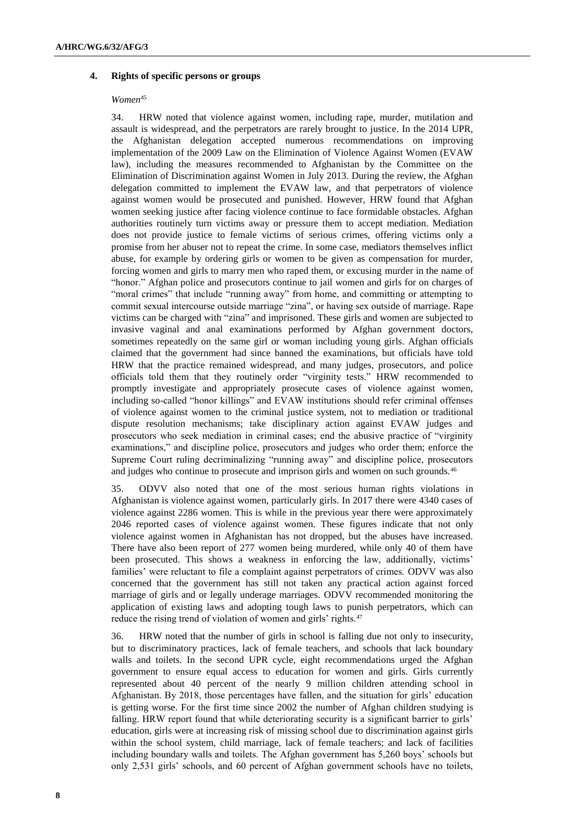#### **4. Rights of specific persons or groups**

#### *Women*<sup>45</sup>

34. HRW noted that violence against women, including rape, murder, mutilation and assault is widespread, and the perpetrators are rarely brought to justice. In the 2014 UPR, the Afghanistan delegation accepted numerous recommendations on improving implementation of the 2009 Law on the Elimination of Violence Against Women (EVAW law), including the measures recommended to Afghanistan by the Committee on the Elimination of Discrimination against Women in July 2013. During the review, the Afghan delegation committed to implement the EVAW law, and that perpetrators of violence against women would be prosecuted and punished. However, HRW found that Afghan women seeking justice after facing violence continue to face formidable obstacles. Afghan authorities routinely turn victims away or pressure them to accept mediation. Mediation does not provide justice to female victims of serious crimes, offering victims only a promise from her abuser not to repeat the crime. In some case, mediators themselves inflict abuse, for example by ordering girls or women to be given as compensation for murder, forcing women and girls to marry men who raped them, or excusing murder in the name of "honor." Afghan police and prosecutors continue to jail women and girls for on charges of "moral crimes" that include "running away" from home, and committing or attempting to commit sexual intercourse outside marriage "zina", or having sex outside of marriage. Rape victims can be charged with "zina" and imprisoned. These girls and women are subjected to invasive vaginal and anal examinations performed by Afghan government doctors, sometimes repeatedly on the same girl or woman including young girls. Afghan officials claimed that the government had since banned the examinations, but officials have told HRW that the practice remained widespread, and many judges, prosecutors, and police officials told them that they routinely order "virginity tests." HRW recommended to promptly investigate and appropriately prosecute cases of violence against women, including so-called "honor killings" and EVAW institutions should refer criminal offenses of violence against women to the criminal justice system, not to mediation or traditional dispute resolution mechanisms; take disciplinary action against EVAW judges and prosecutors who seek mediation in criminal cases; end the abusive practice of "virginity examinations," and discipline police, prosecutors and judges who order them; enforce the Supreme Court ruling decriminalizing "running away" and discipline police, prosecutors and judges who continue to prosecute and imprison girls and women on such grounds.<sup>46</sup>

35. ODVV also noted that one of the most serious human rights violations in Afghanistan is violence against women, particularly girls. In 2017 there were 4340 cases of violence against 2286 women. This is while in the previous year there were approximately 2046 reported cases of violence against women. These figures indicate that not only violence against women in Afghanistan has not dropped, but the abuses have increased. There have also been report of 277 women being murdered, while only 40 of them have been prosecuted. This shows a weakness in enforcing the law, additionally, victims' families' were reluctant to file a complaint against perpetrators of crimes. ODVV was also concerned that the government has still not taken any practical action against forced marriage of girls and or legally underage marriages. ODVV recommended monitoring the application of existing laws and adopting tough laws to punish perpetrators, which can reduce the rising trend of violation of women and girls' rights.<sup>47</sup>

36. HRW noted that the number of girls in school is falling due not only to insecurity, but to discriminatory practices, lack of female teachers, and schools that lack boundary walls and toilets. In the second UPR cycle, eight recommendations urged the Afghan government to ensure equal access to education for women and girls. Girls currently represented about 40 percent of the nearly 9 million children attending school in Afghanistan. By 2018, those percentages have fallen, and the situation for girls' education is getting worse. For the first time since 2002 the number of Afghan children studying is falling. HRW report found that while deteriorating security is a significant barrier to girls' education, girls were at increasing risk of missing school due to discrimination against girls within the school system, child marriage, lack of female teachers; and lack of facilities including boundary walls and toilets. The Afghan government has 5,260 boys' schools but only 2,531 girls' schools, and 60 percent of Afghan government schools have no toilets,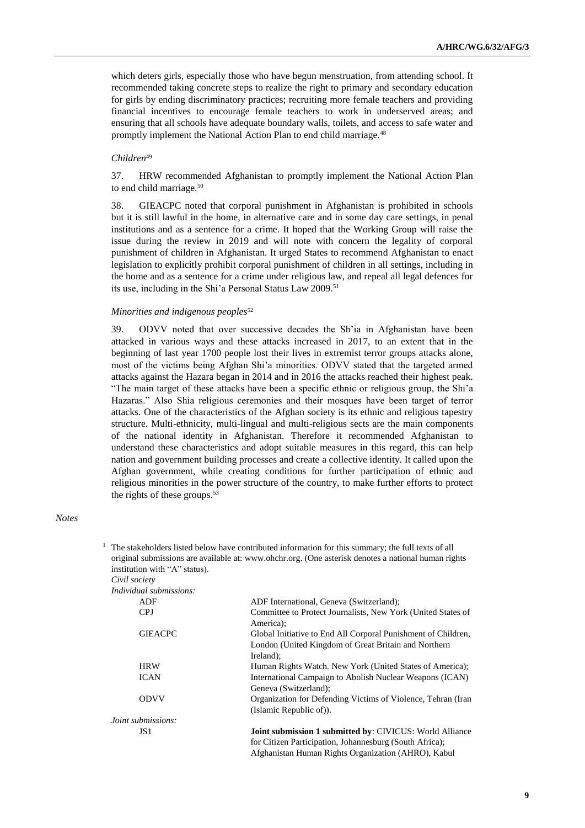which deters girls, especially those who have begun menstruation, from attending school. It recommended taking concrete steps to realize the right to primary and secondary education for girls by ending discriminatory practices; recruiting more female teachers and providing financial incentives to encourage female teachers to work in underserved areas; and ensuring that all schools have adequate boundary walls, toilets, and access to safe water and promptly implement the National Action Plan to end child marriage.<sup>48</sup>

#### *Children*<sup>49</sup>

37. HRW recommended Afghanistan to promptly implement the National Action Plan to end child marriage.<sup>50</sup>

38. GIEACPC noted that corporal punishment in Afghanistan is prohibited in schools but it is still lawful in the home, in alternative care and in some day care settings, in penal institutions and as a sentence for a crime. It hoped that the Working Group will raise the issue during the review in 2019 and will note with concern the legality of corporal punishment of children in Afghanistan. It urged States to recommend Afghanistan to enact legislation to explicitly prohibit corporal punishment of children in all settings, including in the home and as a sentence for a crime under religious law, and repeal all legal defences for its use, including in the Shi'a Personal Status Law 2009.<sup>51</sup>

#### *Minorities and indigenous peoples*<sup>52</sup>

39. ODVV noted that over successive decades the Sh'ia in Afghanistan have been attacked in various ways and these attacks increased in 2017, to an extent that in the beginning of last year 1700 people lost their lives in extremist terror groups attacks alone, most of the victims being Afghan Shi'a minorities. ODVV stated that the targeted armed attacks against the Hazara began in 2014 and in 2016 the attacks reached their highest peak. "The main target of these attacks have been a specific ethnic or religious group, the Shi'a Hazaras." Also Shia religious ceremonies and their mosques have been target of terror attacks. One of the characteristics of the Afghan society is its ethnic and religious tapestry structure. Multi-ethnicity, multi-lingual and multi-religious sects are the main components of the national identity in Afghanistan. Therefore it recommended Afghanistan to understand these characteristics and adopt suitable measures in this regard, this can help nation and government building processes and create a collective identity. It called upon the Afghan government, while creating conditions for further participation of ethnic and religious minorities in the power structure of the country, to make further efforts to protect the rights of these groups.<sup>53</sup>

*Notes*

|                               | The stakeholders listed below have contributed information for this summary; the full texts of all                                 |
|-------------------------------|------------------------------------------------------------------------------------------------------------------------------------|
|                               | original submissions are available at: www.ohchr.org. (One asterisk denotes a national human rights                                |
| institution with "A" status). |                                                                                                                                    |
| Civil society                 |                                                                                                                                    |
| Individual submissions:       |                                                                                                                                    |
| ADF                           | ADF International, Geneva (Switzerland);                                                                                           |
| CPJ                           | Committee to Protect Journalists, New York (United States of<br>America);                                                          |
| <b>GIEACPC</b>                | Global Initiative to End All Corporal Punishment of Children,<br>London (United Kingdom of Great Britain and Northern<br>Ireland); |
| <b>HRW</b>                    | Human Rights Watch. New York (United States of America);                                                                           |
| <b>ICAN</b>                   | International Campaign to Abolish Nuclear Weapons (ICAN)<br>Geneva (Switzerland);                                                  |
| <b>ODVV</b>                   | Organization for Defending Victims of Violence, Tehran (Iran<br>(Islamic Republic of)).                                            |
| <i>Joint submissions:</i>     |                                                                                                                                    |
| JS1                           | <b>Joint submission 1 submitted by: CIVICUS: World Alliance</b>                                                                    |

for Citizen Participation, Johannesburg (South Africa); Afghanistan Human Rights Organization (AHRO), Kabul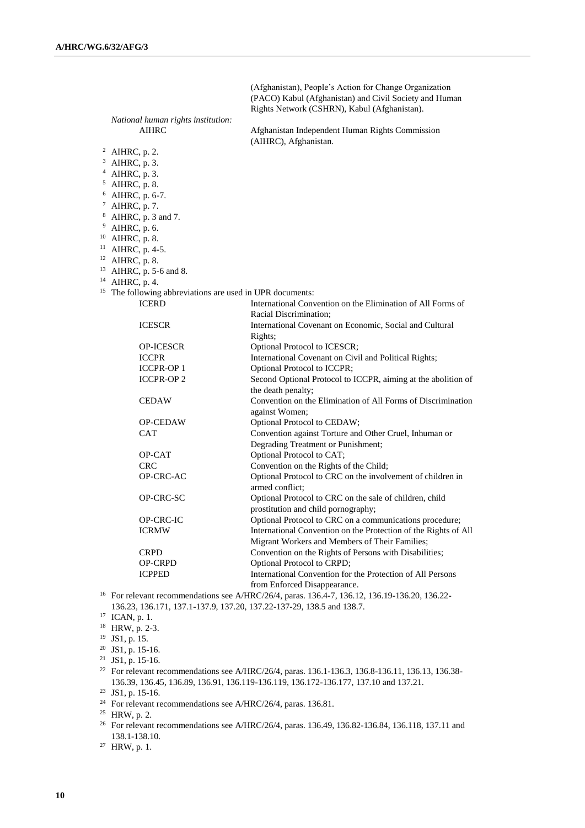(Afghanistan), People's Action for Change Organization (PACO) Kabul (Afghanistan) and Civil Society and Human Rights Network (CSHRN), Kabul (Afghanistan). *National human rights institution:* AIHRC Afghanistan Independent Human Rights Commission (AIHRC), Afghanistan. <sup>2</sup> AIHRC, p. 2. <sup>3</sup> AIHRC, p. 3. <sup>4</sup> AIHRC, p. 3. <sup>5</sup> AIHRC, p. 8. <sup>6</sup> AIHRC, p. 6-7. <sup>7</sup> AIHRC, p. 7. <sup>8</sup> AIHRC, p. 3 and 7. <sup>9</sup> AIHRC, p. 6. <sup>10</sup> AIHRC, p. 8. <sup>11</sup> AIHRC, p. 4-5. <sup>12</sup> AIHRC, p. 8. <sup>13</sup> AIHRC, p. 5-6 and 8. <sup>14</sup> AIHRC, p. 4. <sup>15</sup> The following abbreviations are used in UPR documents: ICERD International Convention on the Elimination of All Forms of Racial Discrimination; ICESCR International Covenant on Economic, Social and Cultural Rights; OP-ICESCR Optional Protocol to ICESCR; ICCPR International Covenant on Civil and Political Rights; ICCPR-OP 1 Optional Protocol to ICCPR; ICCPR-OP 2 Second Optional Protocol to ICCPR, aiming at the abolition of the death penalty; CEDAW Convention on the Elimination of All Forms of Discrimination against Women; OP-CEDAW Optional Protocol to CEDAW; CAT Convention against Torture and Other Cruel, Inhuman or Degrading Treatment or Punishment; OP-CAT Optional Protocol to CAT; CRC Convention on the Rights of the Child; OP-CRC-AC Optional Protocol to CRC on the involvement of children in armed conflict; OP-CRC-SC Optional Protocol to CRC on the sale of children, child prostitution and child pornography; OP-CRC-IC Optional Protocol to CRC on a communications procedure; ICRMW International Convention on the Protection of the Rights of All Migrant Workers and Members of Their Families; CRPD Convention on the Rights of Persons with Disabilities; OP-CRPD Optional Protocol to CRPD; ICPPED International Convention for the Protection of All Persons from Enforced Disappearance.

<sup>16</sup> For relevant recommendations see A/HRC/26/4, paras. 136.4-7, 136.12, 136.19-136.20, 136.22- 136.23, 136.171, 137.1-137.9, 137.20, 137.22-137-29, 138.5 and 138.7.

<sup>17</sup> ICAN, p. 1.

<sup>18</sup> HRW, p. 2-3.

<sup>19</sup> JS1, p. 15.

 $20$  JS1, p. 15-16.

 $21$  JS1, p. 15-16.

<sup>22</sup> For relevant recommendations see A/HRC/26/4, paras. 136.1-136.3, 136.8-136.11, 136.13, 136.38-136.39, 136.45, 136.89, 136.91, 136.119-136.119, 136.172-136.177, 137.10 and 137.21.

 $23$  JS1, p. 15-16.

<sup>24</sup> For relevant recommendations see A/HRC/26/4, paras. 136.81.

<sup>25</sup> HRW, p. 2.

<sup>26</sup> For relevant recommendations see A/HRC/26/4, paras. 136.49, 136.82-136.84, 136.118, 137.11 and 138.1-138.10.

<sup>27</sup> HRW, p. 1.